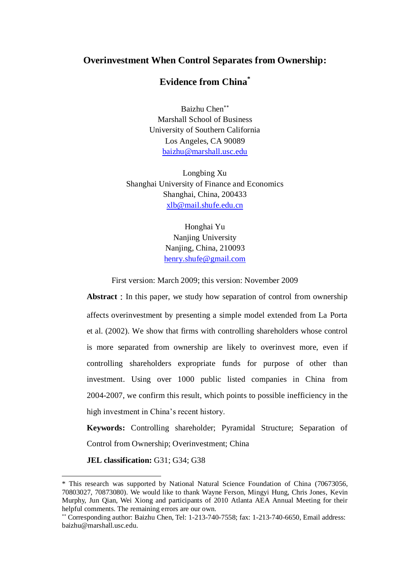# **Overinvestment When Control Separates from Ownership:**

# **Evidence from China\***

Baizhu Chen Marshall School of Business University of Southern California Los Angeles, CA 90089 [baizhu@marshall.usc.edu](mailto:baizhu@marshall.usc.edu)

Longbing Xu Shanghai University of Finance and Economics Shanghai, China, 200433 [xlb@mail.shufe.edu.cn](mailto:xlb@mail.shufe.edu.cn)

> Honghai Yu Nanjing University Nanjing, China, 210093 [henry.shufe@gmail.com](mailto:henry.shufe@gmail.com)

First version: March 2009; this version: November 2009

**Abstract**: In this paper, we study how separation of control from ownership affects overinvestment by presenting a simple model extended from La Porta et al. (2002). We show that firms with controlling shareholders whose control is more separated from ownership are likely to overinvest more, even if controlling shareholders expropriate funds for purpose of other than investment. Using over 1000 public listed companies in China from 2004-2007, we confirm this result, which points to possible inefficiency in the high investment in China's recent history.

**Keywords:** Controlling shareholder; Pyramidal Structure; Separation of Control from Ownership; Overinvestment; China

**JEL classification:** G31; G34; G38

-

<sup>\*</sup> This research was supported by National Natural Science Foundation of China (70673056, 70803027, 70873080). We would like to thank Wayne Ferson, Mingyi Hung, Chris Jones, Kevin Murphy, Jun Qian, Wei Xiong and participants of 2010 Atlanta AEA Annual Meeting for their helpful comments. The remaining errors are our own.

Corresponding author: Baizhu Chen, Tel: 1-213-740-7558; fax: 1-213-740-6650, Email address: [baizhu@marshall.usc.edu.](mailto:baizhu@marshall.usc.edu)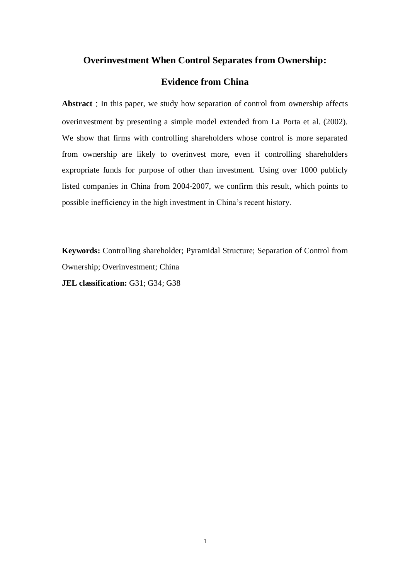## **Overinvestment When Control Separates from Ownership:**

# **Evidence from China**

Abstract : In this paper, we study how separation of control from ownership affects overinvestment by presenting a simple model extended from La Porta et al. (2002). We show that firms with controlling shareholders whose control is more separated from ownership are likely to overinvest more, even if controlling shareholders expropriate funds for purpose of other than investment. Using over 1000 publicly listed companies in China from 2004-2007, we confirm this result, which points to possible inefficiency in the high investment in China's recent history.

**Keywords:** Controlling shareholder; Pyramidal Structure; Separation of Control from Ownership; Overinvestment; China **JEL classification:** G31; G34; G38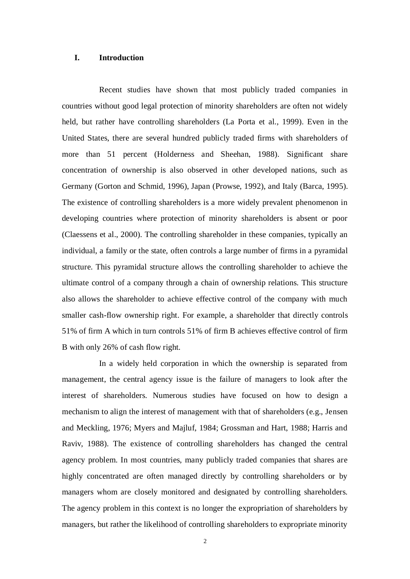### **I. Introduction**

Recent studies have shown that most publicly traded companies in countries without good legal protection of minority shareholders are often not widely held, but rather have controlling shareholders (La Porta et al., 1999). Even in the United States, there are several hundred publicly traded firms with shareholders of more than 51 percent (Holderness and Sheehan, 1988). Significant share concentration of ownership is also observed in other developed nations, such as Germany (Gorton and Schmid, 1996), Japan (Prowse, 1992), and Italy (Barca, 1995). The existence of controlling shareholders is a more widely prevalent phenomenon in developing countries where protection of minority shareholders is absent or poor (Claessens et al., 2000). The controlling shareholder in these companies, typically an individual, a family or the state, often controls a large number of firms in a pyramidal structure. This pyramidal structure allows the controlling shareholder to achieve the ultimate control of a company through a chain of ownership relations. This structure also allows the shareholder to achieve effective control of the company with much smaller cash-flow ownership right. For example, a shareholder that directly controls 51% of firm A which in turn controls 51% of firm B achieves effective control of firm B with only 26% of cash flow right.

In a widely held corporation in which the ownership is separated from management, the central agency issue is the failure of managers to look after the interest of shareholders. Numerous studies have focused on how to design a mechanism to align the interest of management with that of shareholders (e.g., Jensen and Meckling, 1976; Myers and Majluf, 1984; Grossman and Hart, 1988; Harris and Raviv, 1988). The existence of controlling shareholders has changed the central agency problem. In most countries, many publicly traded companies that shares are highly concentrated are often managed directly by controlling shareholders or by managers whom are closely monitored and designated by controlling shareholders. The agency problem in this context is no longer the expropriation of shareholders by managers, but rather the likelihood of controlling shareholders to expropriate minority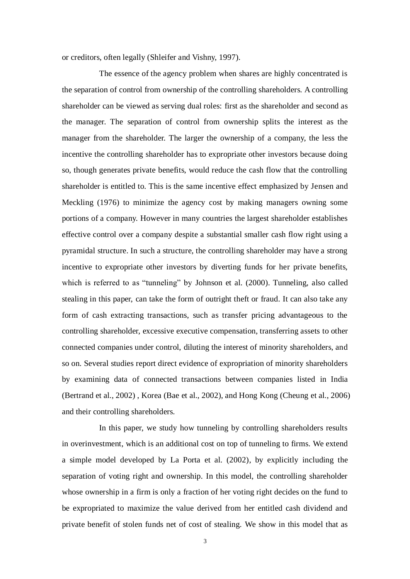or creditors, often legally (Shleifer and Vishny, 1997).

The essence of the agency problem when shares are highly concentrated is the separation of control from ownership of the controlling shareholders. A controlling shareholder can be viewed as serving dual roles: first as the shareholder and second as the manager. The separation of control from ownership splits the interest as the manager from the shareholder. The larger the ownership of a company, the less the incentive the controlling shareholder has to expropriate other investors because doing so, though generates private benefits, would reduce the cash flow that the controlling shareholder is entitled to. This is the same incentive effect emphasized by Jensen and Meckling (1976) to minimize the agency cost by making managers owning some portions of a company. However in many countries the largest shareholder establishes effective control over a company despite a substantial smaller cash flow right using a pyramidal structure. In such a structure, the controlling shareholder may have a strong incentive to expropriate other investors by diverting funds for her private benefits, which is referred to as "tunneling" by Johnson et al. (2000). Tunneling, also called stealing in this paper, can take the form of outright theft or fraud. It can also take any form of cash extracting transactions, such as transfer pricing advantageous to the controlling shareholder, excessive executive compensation, transferring assets to other connected companies under control, diluting the interest of minority shareholders, and so on. Several studies report direct evidence of expropriation of minority shareholders by examining data of connected transactions between companies listed in India (Bertrand et al., 2002) , Korea (Bae et al., 2002), and Hong Kong (Cheung et al., 2006) and their controlling shareholders.

In this paper, we study how tunneling by controlling shareholders results in overinvestment, which is an additional cost on top of tunneling to firms. We extend a simple model developed by La Porta et al. (2002), by explicitly including the separation of voting right and ownership. In this model, the controlling shareholder whose ownership in a firm is only a fraction of her voting right decides on the fund to be expropriated to maximize the value derived from her entitled cash dividend and private benefit of stolen funds net of cost of stealing. We show in this model that as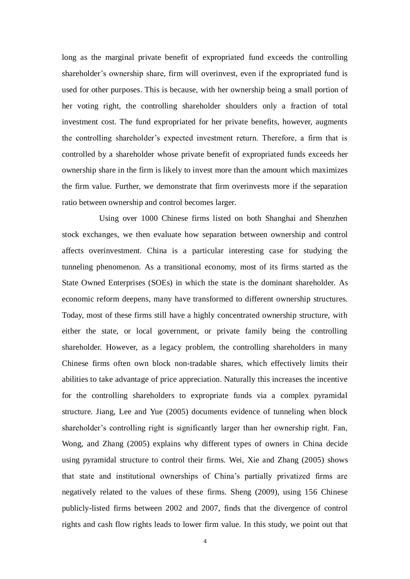long as the marginal private benefit of expropriated fund exceeds the controlling shareholder's ownership share, firm will overinvest, even if the expropriated fund is used for other purposes. This is because, with her ownership being a small portion of her voting right, the controlling shareholder shoulders only a fraction of total investment cost. The fund expropriated for her private benefits, however, augments the controlling shareholder's expected investment return. Therefore, a firm that is controlled by a shareholder whose private benefit of expropriated funds exceeds her ownership share in the firm is likely to invest more than the amount which maximizes the firm value. Further, we demonstrate that firm overinvests more if the separation ratio between ownership and control becomes larger.

Using over 1000 Chinese firms listed on both Shanghai and Shenzhen stock exchanges, we then evaluate how separation between ownership and control affects overinvestment. China is a particular interesting case for studying the tunneling phenomenon. As a transitional economy, most of its firms started as the State Owned Enterprises (SOEs) in which the state is the dominant shareholder. As economic reform deepens, many have transformed to different ownership structures. Today, most of these firms still have a highly concentrated ownership structure, with either the state, or local government, or private family being the controlling shareholder. However, as a legacy problem, the controlling shareholders in many Chinese firms often own block non-tradable shares, which effectively limits their abilities to take advantage of price appreciation. Naturally this increases the incentive for the controlling shareholders to expropriate funds via a complex pyramidal structure. Jiang, Lee and Yue (2005) documents evidence of tunneling when block shareholder's controlling right is significantly larger than her ownership right. Fan, Wong, and Zhang (2005) explains why different types of owners in China decide using pyramidal structure to control their firms. Wei, Xie and Zhang (2005) shows that state and institutional ownerships of China's partially privatized firms are negatively related to the values of these firms. Sheng (2009), using 156 Chinese publicly-listed firms between 2002 and 2007, finds that the divergence of control rights and cash flow rights leads to lower firm value. In this study, we point out that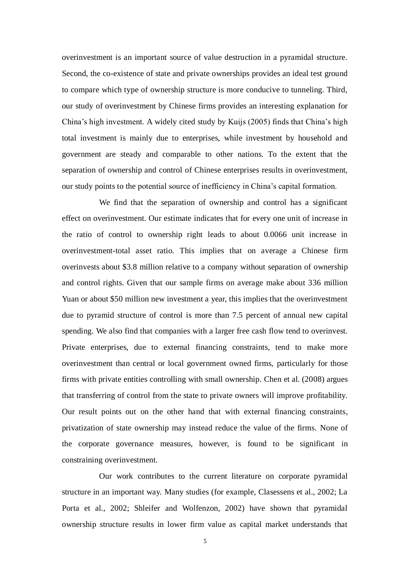overinvestment is an important source of value destruction in a pyramidal structure. Second, the co-existence of state and private ownerships provides an ideal test ground to compare which type of ownership structure is more conducive to tunneling. Third, our study of overinvestment by Chinese firms provides an interesting explanation for China's high investment. A widely cited study by Kuijs (2005) finds that China's high total investment is mainly due to enterprises, while investment by household and government are steady and comparable to other nations. To the extent that the separation of ownership and control of Chinese enterprises results in overinvestment, our study points to the potential source of inefficiency in China's capital formation.

We find that the separation of ownership and control has a significant effect on overinvestment. Our estimate indicates that for every one unit of increase in the ratio of control to ownership right leads to about 0.0066 unit increase in overinvestment-total asset ratio. This implies that on average a Chinese firm overinvests about \$3.8 million relative to a company without separation of ownership and control rights. Given that our sample firms on average make about 336 million Yuan or about \$50 million new investment a year, this implies that the overinvestment due to pyramid structure of control is more than 7.5 percent of annual new capital spending. We also find that companies with a larger free cash flow tend to overinvest. Private enterprises, due to external financing constraints, tend to make more overinvestment than central or local government owned firms, particularly for those firms with private entities controlling with small ownership. Chen et al. (2008) argues that transferring of control from the state to private owners will improve profitability. Our result points out on the other hand that with external financing constraints, privatization of state ownership may instead reduce the value of the firms. None of the corporate governance measures, however, is found to be significant in constraining overinvestment.

Our work contributes to the current literature on corporate pyramidal structure in an important way. Many studies (for example, Clasessens et al., 2002; La Porta et al., 2002; Shleifer and Wolfenzon, 2002) have shown that pyramidal ownership structure results in lower firm value as capital market understands that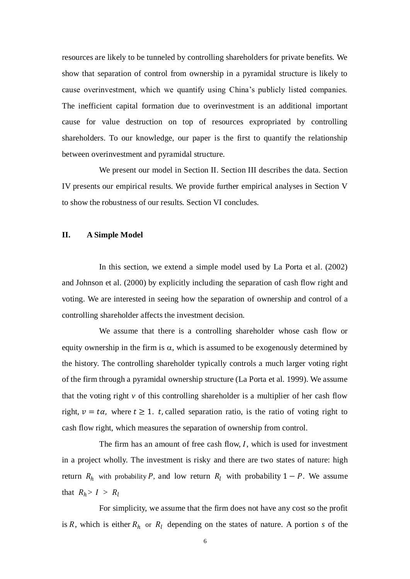resources are likely to be tunneled by controlling shareholders for private benefits. We show that separation of control from ownership in a pyramidal structure is likely to cause overinvestment, which we quantify using China's publicly listed companies. The inefficient capital formation due to overinvestment is an additional important cause for value destruction on top of resources expropriated by controlling shareholders. To our knowledge, our paper is the first to quantify the relationship between overinvestment and pyramidal structure.

We present our model in Section II. Section III describes the data. Section IV presents our empirical results. We provide further empirical analyses in Section V to show the robustness of our results. Section VI concludes.

#### **II. A Simple Model**

In this section, we extend a simple model used by La Porta et al. (2002) and Johnson et al. (2000) by explicitly including the separation of cash flow right and voting. We are interested in seeing how the separation of ownership and control of a controlling shareholder affects the investment decision.

We assume that there is a controlling shareholder whose cash flow or equity ownership in the firm is  $\alpha$ , which is assumed to be exogenously determined by the history. The controlling shareholder typically controls a much larger voting right of the firm through a pyramidal ownership structure (La Porta et al. 1999). We assume that the voting right  $\nu$  of this controlling shareholder is a multiplier of her cash flow right,  $v = t\alpha$ , where  $t \ge 1$ . t, called separation ratio, is the ratio of voting right to cash flow right, which measures the separation of ownership from control.

The firm has an amount of free cash flow,  $I$ , which is used for investment in a project wholly. The investment is risky and there are two states of nature: high return  $R_h$  with probability P, and low return  $R_l$  with probability  $1 - P$ . We assume that  $R_h > I > R_l$ 

For simplicity, we assume that the firm does not have any cost so the profit is R, which is either  $R_h$  or  $R_l$  depending on the states of nature. A portion *s* of the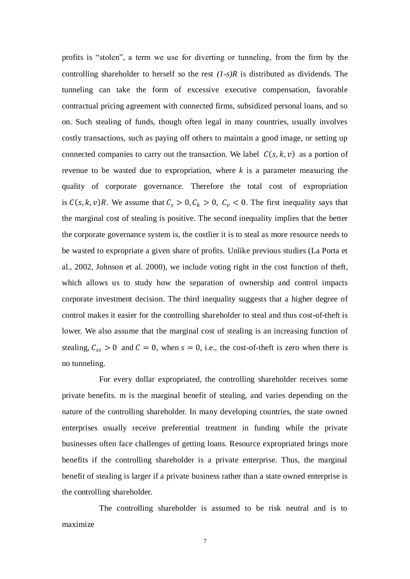profits is "stolen", a term we use for diverting or tunneling, from the firm by the controlling shareholder to herself so the rest *(1-s)R* is distributed as dividends. The tunneling can take the form of excessive executive compensation, favorable contractual pricing agreement with connected firms, subsidized personal loans, and so on. Such stealing of funds, though often legal in many countries, usually involves costly transactions, such as paying off others to maintain a good image, or setting up connected companies to carry out the transaction. We label  $C(s, k, v)$  as a portion of revenue to be wasted due to expropriation, where *k* is a parameter measuring the quality of corporate governance. Therefore the total cost of expropriation is  $C(s, k, v)R$ . We assume that  $C_s > 0$ ,  $C_k > 0$ ,  $C_v < 0$ . The first inequality says that the marginal cost of stealing is positive. The second inequality implies that the better the corporate governance system is, the costlier it is to steal as more resource needs to be wasted to expropriate a given share of profits. Unlike previous studies (La Porta et al., 2002, Johnson et al. 2000), we include voting right in the cost function of theft, which allows us to study how the separation of ownership and control impacts corporate investment decision. The third inequality suggests that a higher degree of control makes it easier for the controlling shareholder to steal and thus cost-of-theft is lower. We also assume that the marginal cost of stealing is an increasing function of stealing,  $C_{ss} > 0$  and  $C = 0$ , when  $s = 0$ , i.e., the cost-of-theft is zero when there is no tunneling.

For every dollar expropriated, the controlling shareholder receives some private benefits. m is the marginal benefit of stealing, and varies depending on the nature of the controlling shareholder. In many developing countries, the state owned enterprises usually receive preferential treatment in funding while the private businesses often face challenges of getting loans. Resource expropriated brings more benefits if the controlling shareholder is a private enterprise. Thus, the marginal benefit of stealing is larger if a private business rather than a state owned enterprise is the controlling shareholder.

The controlling shareholder is assumed to be risk neutral and is to maximize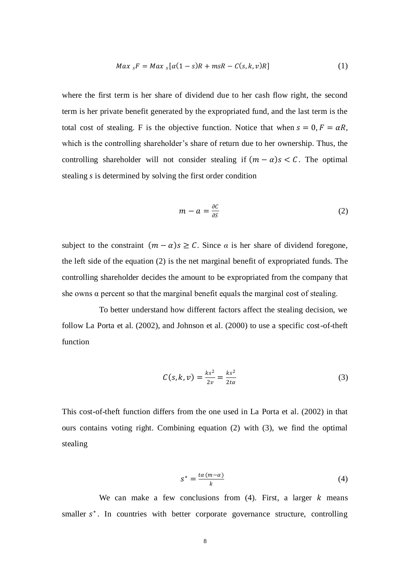$$
Max_{s}F = Max_{s}[\alpha(1-s)R + msR - C(s,k,v)R]
$$
\n(1)

where the first term is her share of dividend due to her cash flow right, the second term is her private benefit generated by the expropriated fund, and the last term is the total cost of stealing. F is the objective function. Notice that when  $s = 0, F = \alpha R$ , which is the controlling shareholder's share of return due to her ownership. Thus, the controlling shareholder will not consider stealing if  $(m - \alpha)s < C$ . The optimal stealing *s* is determined by solving the first order condition

$$
m - a = \frac{\partial C}{\partial S} \tag{2}
$$

subject to the constraint  $(m - \alpha)s \geq C$ . Since  $\alpha$  is her share of dividend foregone, the left side of the equation (2) is the net marginal benefit of expropriated funds. The controlling shareholder decides the amount to be expropriated from the company that she owns  $\alpha$  percent so that the marginal benefit equals the marginal cost of stealing.

To better understand how different factors affect the stealing decision, we follow La Porta et al. (2002), and Johnson et al. (2000) to use a specific cost-of-theft function

$$
C(s,k,v) = \frac{ks^2}{2v} = \frac{ks^2}{2t\alpha}
$$
 (3)

This cost-of-theft function differs from the one used in La Porta et al. (2002) in that ours contains voting right. Combining equation (2) with (3), we find the optimal stealing

$$
s^* = \frac{\tan(m-a)}{k} \tag{4}
$$

We can make a few conclusions from  $(4)$ . First, a larger  $k$  means smaller s<sup>\*</sup>. In countries with better corporate governance structure, controlling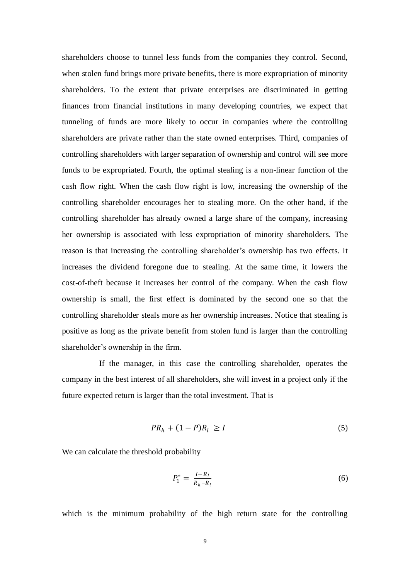shareholders choose to tunnel less funds from the companies they control. Second, when stolen fund brings more private benefits, there is more expropriation of minority shareholders. To the extent that private enterprises are discriminated in getting finances from financial institutions in many developing countries, we expect that tunneling of funds are more likely to occur in companies where the controlling shareholders are private rather than the state owned enterprises. Third, companies of controlling shareholders with larger separation of ownership and control will see more funds to be expropriated. Fourth, the optimal stealing is a non-linear function of the cash flow right. When the cash flow right is low, increasing the ownership of the controlling shareholder encourages her to stealing more. On the other hand, if the controlling shareholder has already owned a large share of the company, increasing her ownership is associated with less expropriation of minority shareholders. The reason is that increasing the controlling shareholder's ownership has two effects. It increases the dividend foregone due to stealing. At the same time, it lowers the cost-of-theft because it increases her control of the company. When the cash flow ownership is small, the first effect is dominated by the second one so that the controlling shareholder steals more as her ownership increases. Notice that stealing is positive as long as the private benefit from stolen fund is larger than the controlling shareholder's ownership in the firm.

If the manager, in this case the controlling shareholder, operates the company in the best interest of all shareholders, she will invest in a project only if the future expected return is larger than the total investment. That is

$$
PR_h + (1 - P)R_l \ge I \tag{5}
$$

We can calculate the threshold probability

$$
P_1^* = \frac{I - R_l}{R_h - R_l} \tag{6}
$$

which is the minimum probability of the high return state for the controlling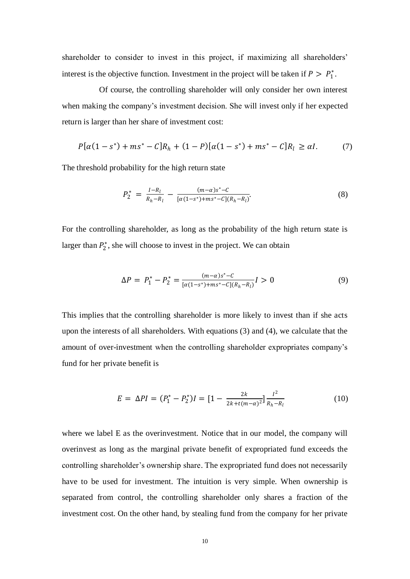shareholder to consider to invest in this project, if maximizing all shareholders' interest is the objective function. Investment in the project will be taken if  $P > P_1^*$ .

Of course, the controlling shareholder will only consider her own interest when making the company's investment decision. She will invest only if her expected return is larger than her share of investment cost:

$$
P[\alpha(1-s^*) + ms^* - C]R_h + (1-P)[\alpha(1-s^*) + ms^* - C]R_l \ge \alpha I.
$$
 (7)

The threshold probability for the high return state

$$
P_2^* = \frac{I - R_l}{R_h - R_l} - \frac{(m - \alpha)s^* - C}{[\alpha(1 - s^*) + ms^* - C](R_h - R_l)}.
$$
\n(8)

For the controlling shareholder, as long as the probability of the high return state is larger than  $P_2^*$ , she will choose to invest in the project. We can obtain

$$
\Delta P = P_1^* - P_2^* = \frac{(m-\alpha)s^* - C}{[\alpha(1-s^*) + ms^* - C](R_h - R_l)} I > 0
$$
\n(9)

This implies that the controlling shareholder is more likely to invest than if she acts upon the interests of all shareholders. With equations (3) and (4), we calculate that the amount of over-investment when the controlling shareholder expropriates company's fund for her private benefit is

$$
E = \Delta PI = (P_1^* - P_2^*)I = \left[1 - \frac{2k}{2k + t(m - \alpha)^2}\right] \frac{I^2}{R_h - R_l}
$$
(10)

where we label E as the overinvestment. Notice that in our model, the company will overinvest as long as the marginal private benefit of expropriated fund exceeds the controlling shareholder's ownership share. The expropriated fund does not necessarily have to be used for investment. The intuition is very simple. When ownership is separated from control, the controlling shareholder only shares a fraction of the investment cost. On the other hand, by stealing fund from the company for her private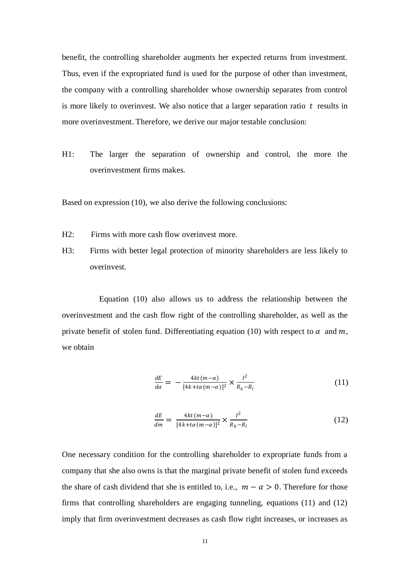benefit, the controlling shareholder augments her expected returns from investment. Thus, even if the expropriated fund is used for the purpose of other than investment, the company with a controlling shareholder whose ownership separates from control is more likely to overinvest. We also notice that a larger separation ratio  $t$  results in more overinvestment. Therefore, we derive our major testable conclusion:

H1: The larger the separation of ownership and control, the more the overinvestment firms makes.

Based on expression (10), we also derive the following conclusions:

- H2: Firms with more cash flow overinvest more.
- H3: Firms with better legal protection of minority shareholders are less likely to overinvest.

Equation (10) also allows us to address the relationship between the overinvestment and the cash flow right of the controlling shareholder, as well as the private benefit of stolen fund. Differentiating equation (10) with respect to  $\alpha$  and  $m$ , we obtain

$$
\frac{dE}{d\alpha} = -\frac{4kt(m-\alpha)}{[4k+t\alpha(m-\alpha)]^2} \times \frac{l^2}{R_h - R_l} \tag{11}
$$

$$
\frac{dE}{dm} = \frac{4kt(m-\alpha)}{[4k+t\alpha(m-\alpha)]^2} \times \frac{l^2}{R_h - R_l}
$$
\n(12)

One necessary condition for the controlling shareholder to expropriate funds from a company that she also owns is that the marginal private benefit of stolen fund exceeds the share of cash dividend that she is entitled to, i.e.,  $m - \alpha > 0$ . Therefore for those firms that controlling shareholders are engaging tunneling, equations (11) and (12) imply that firm overinvestment decreases as cash flow right increases, or increases as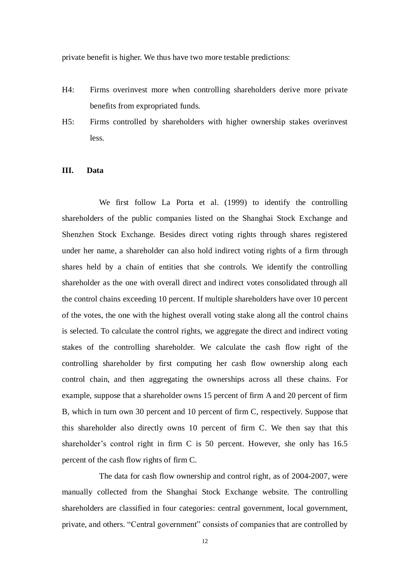private benefit is higher. We thus have two more testable predictions:

- H4: Firms overinvest more when controlling shareholders derive more private benefits from expropriated funds.
- H5: Firms controlled by shareholders with higher ownership stakes overinvest less.

## **III. Data**

We first follow La Porta et al. (1999) to identify the controlling shareholders of the public companies listed on the Shanghai Stock Exchange and Shenzhen Stock Exchange. Besides direct voting rights through shares registered under her name, a shareholder can also hold indirect voting rights of a firm through shares held by a chain of entities that she controls. We identify the controlling shareholder as the one with overall direct and indirect votes consolidated through all the control chains exceeding 10 percent. If multiple shareholders have over 10 percent of the votes, the one with the highest overall voting stake along all the control chains is selected. To calculate the control rights, we aggregate the direct and indirect voting stakes of the controlling shareholder. We calculate the cash flow right of the controlling shareholder by first computing her cash flow ownership along each control chain, and then aggregating the ownerships across all these chains. For example, suppose that a shareholder owns 15 percent of firm A and 20 percent of firm B, which in turn own 30 percent and 10 percent of firm C, respectively. Suppose that this shareholder also directly owns 10 percent of firm C. We then say that this shareholder's control right in firm C is 50 percent. However, she only has 16.5 percent of the cash flow rights of firm C.

The data for cash flow ownership and control right, as of 2004-2007, were manually collected from the Shanghai Stock Exchange website. The controlling shareholders are classified in four categories: central government, local government, private, and others. "Central government" consists of companies that are controlled by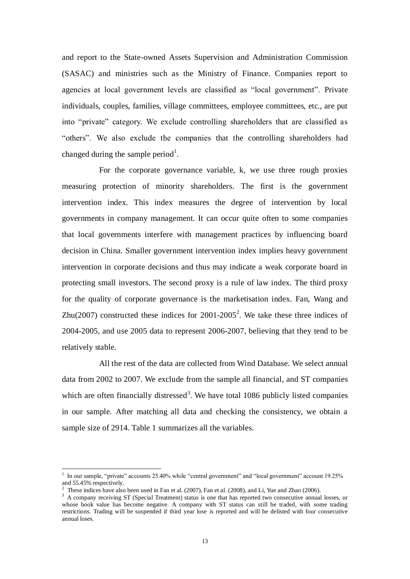and report to the State-owned Assets Supervision and Administration Commission (SASAC) and ministries such as the Ministry of Finance. Companies report to agencies at local government levels are classified as "local government". Private individuals, couples, families, village committees, employee committees, etc., are put into "private" category. We exclude controlling shareholders that are classified as "others". We also exclude the companies that the controlling shareholders had changed during the sample period<sup>1</sup>.

For the corporate governance variable, k, we use three rough proxies measuring protection of minority shareholders. The first is the government intervention index. This index measures the degree of intervention by local governments in company management. It can occur quite often to some companies that local governments interfere with management practices by influencing board decision in China. Smaller government intervention index implies heavy government intervention in corporate decisions and thus may indicate a weak corporate board in protecting small investors. The second proxy is a rule of law index. The third proxy for the quality of corporate governance is the marketisation index. Fan, Wang and Zhu(2007) constructed these indices for  $2001-2005^2$ . We take these three indices of 2004-2005, and use 2005 data to represent 2006-2007, believing that they tend to be relatively stable.

All the rest of the data are collected from Wind Database. We select annual data from 2002 to 2007. We exclude from the sample all financial, and ST companies which are often financially distressed<sup>3</sup>. We have total  $1086$  publicly listed companies in our sample. After matching all data and checking the consistency, we obtain a sample size of 2914. Table 1 summarizes all the variables.

-

<sup>&</sup>lt;sup>1</sup> In our sample, "private" accounts 25.40% while "central government" and "local government" account 19.25% and 55.45% respectively.

<sup>&</sup>lt;sup>2</sup> These indices have also been used in Fan et al. (2007), Fan et al. (2008), and Li, Yue and Zhao (2006).

<sup>&</sup>lt;sup>3</sup> A company receiving ST (Special Treatment) status is one that has reported two consecutive annual losses, or whose book value has become negative. A company with ST status can still be traded, with some trading restrictions. Trading will be suspended if third year lose is reported and will be delisted with four consecutive annual loses.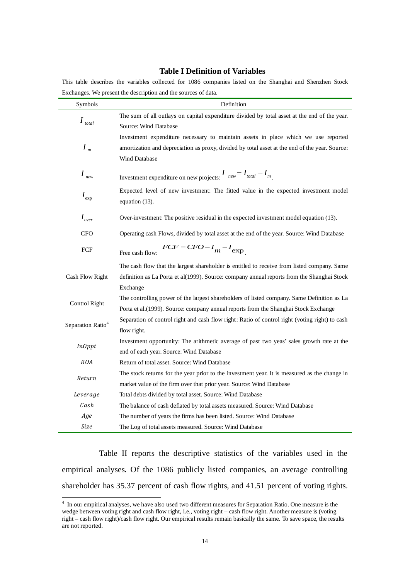#### **Table I Definition of Variables**

This table describes the variables collected for 1086 companies listed on the Shanghai and Shenzhen Stock Exchanges. We present the description and the sources of data.

| Symbols                       | Definition                                                                                     |
|-------------------------------|------------------------------------------------------------------------------------------------|
|                               | The sum of all outlays on capital expenditure divided by total asset at the end of the year.   |
| $I_{\text{total}}$            | Source: Wind Database                                                                          |
|                               | Investment expenditure necessary to maintain assets in place which we use reported             |
| $I_{m}$                       | amortization and depreciation as proxy, divided by total asset at the end of the year. Source: |
|                               | Wind Database                                                                                  |
| $I_{\mathit{new}}$            | Investment expenditure on new projects: $I_{new} = I_{total} - I_{m}$ .                        |
| $I_{\rm exp}$                 | Expected level of new investment: The fitted value in the expected investment model            |
|                               | equation (13).                                                                                 |
| $I_{over}$                    | Over-investment: The positive residual in the expected investment model equation (13).         |
| <b>CFO</b>                    | Operating cash Flows, divided by total asset at the end of the year. Source: Wind Database     |
| ${\mbox{FCF}}$                | $FCF = CFO - I_m - I_{exp}$<br>Free cash flow:                                                 |
|                               | The cash flow that the largest shareholder is entitled to receive from listed company. Same    |
| Cash Flow Right               | definition as La Porta et al(1999). Source: company annual reports from the Shanghai Stock     |
|                               | Exchange                                                                                       |
| Control Right                 | The controlling power of the largest shareholders of listed company. Same Definition as La     |
|                               | Porta et al.(1999). Source: company annual reports from the Shanghai Stock Exchange            |
| Separation Ratio <sup>4</sup> | Separation of control right and cash flow right: Ratio of control right (voting right) to cash |
|                               | flow right.                                                                                    |
| InOppt                        | Investment opportunity: The arithmetic average of past two yeas' sales growth rate at the      |
|                               | end of each year. Source: Wind Database                                                        |
| ROA                           | Return of total asset. Source: Wind Database                                                   |
| Return                        | The stock returns for the year prior to the investment year. It is measured as the change in   |
|                               | market value of the firm over that prior year. Source: Wind Database                           |
| Leverage                      | Total debts divided by total asset. Source: Wind Database                                      |
| Cash                          | The balance of cash deflated by total assets measured. Source: Wind Database                   |
| Age                           | The number of years the firms has been listed. Source: Wind Database                           |
| Size                          | The Log of total assets measured. Source: Wind Database                                        |

Table II reports the descriptive statistics of the variables used in the empirical analyses. Of the 1086 publicly listed companies, an average controlling shareholder has 35.37 percent of cash flow rights, and 41.51 percent of voting rights.

 4 In our empirical analyses, we have also used two different measures for Separation Ratio. One measure is the wedge between voting right and cash flow right, i.e., voting right – cash flow right. Another measure is (voting right – cash flow right)/cash flow right. Our empirical results remain basically the same. To save space, the results are not reported.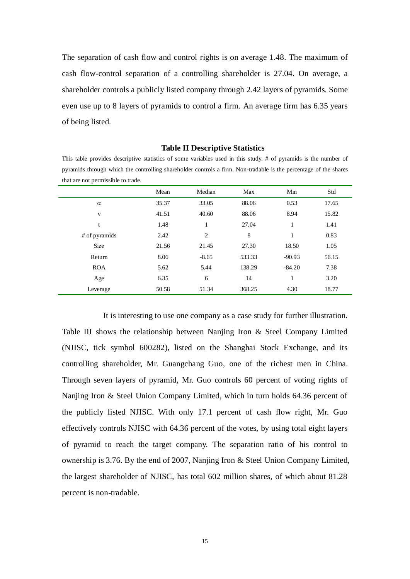The separation of cash flow and control rights is on average 1.48. The maximum of cash flow-control separation of a controlling shareholder is 27.04. On average, a shareholder controls a publicly listed company through 2.42 layers of pyramids. Some even use up to 8 layers of pyramids to control a firm. An average firm has 6.35 years of being listed.

| pyramids through which the controlling shareholder controls a firm. Non-tradable is the percentage of the shares |       |         |        |          |       |  |  |  |
|------------------------------------------------------------------------------------------------------------------|-------|---------|--------|----------|-------|--|--|--|
| that are not permissible to trade.                                                                               |       |         |        |          |       |  |  |  |
|                                                                                                                  | Mean  | Median  | Max    | Min      | Std   |  |  |  |
| $\alpha$                                                                                                         | 35.37 | 33.05   | 88.06  | 0.53     | 17.65 |  |  |  |
| v                                                                                                                | 41.51 | 40.60   | 88.06  | 8.94     | 15.82 |  |  |  |
| t                                                                                                                | 1.48  |         | 27.04  | 1        | 1.41  |  |  |  |
| # of pyramids                                                                                                    | 2.42  | 2       | 8      | 1        | 0.83  |  |  |  |
| <b>Size</b>                                                                                                      | 21.56 | 21.45   | 27.30  | 18.50    | 1.05  |  |  |  |
| Return                                                                                                           | 8.06  | $-8.65$ | 533.33 | $-90.93$ | 56.15 |  |  |  |
| <b>ROA</b>                                                                                                       | 5.62  | 5.44    | 138.29 | $-84.20$ | 7.38  |  |  |  |
| Age                                                                                                              | 6.35  | 6       | 14     | 1        | 3.20  |  |  |  |
| Leverage                                                                                                         | 50.58 | 51.34   | 368.25 | 4.30     | 18.77 |  |  |  |

#### **Table II Descriptive Statistics**

This table provides descriptive statistics of some variables used in this study. # of pyramids is the number of

It is interesting to use one company as a case study for further illustration. Table III shows the relationship between Nanjing Iron & Steel Company Limited (NJISC, tick symbol 600282), listed on the Shanghai Stock Exchange, and its controlling shareholder, Mr. Guangchang Guo, one of the richest men in China. Through seven layers of pyramid, Mr. Guo controls 60 percent of voting rights of Nanjing Iron & Steel Union Company Limited, which in turn holds 64.36 percent of the publicly listed NJISC. With only 17.1 percent of cash flow right, Mr. Guo effectively controls NJISC with 64.36 percent of the votes, by using total eight layers of pyramid to reach the target company. The separation ratio of his control to ownership is 3.76. By the end of 2007, Nanjing Iron & Steel Union Company Limited, the largest shareholder of NJISC, has total 602 million shares, of which about 81.28 percent is non-tradable.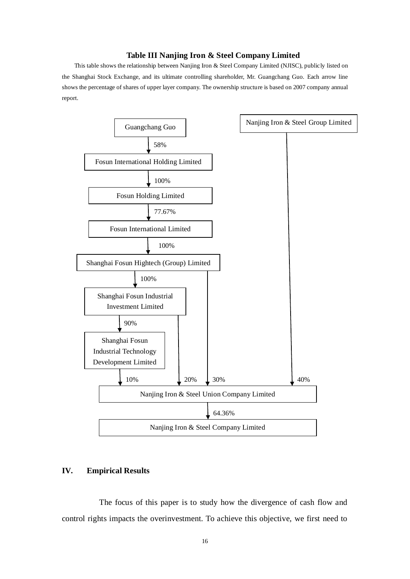### **Table III Nanjing Iron & Steel Company Limited**

This table shows the relationship between Nanjing Iron & Steel Company Limited (NJISC), publicly listed on the Shanghai Stock Exchange, and its ultimate controlling shareholder, Mr. Guangchang Guo. Each arrow line shows the percentage of shares of upper layer company. The ownership structure is based on 2007 company annual report.



## **IV. Empirical Results**

The focus of this paper is to study how the divergence of cash flow and control rights impacts the overinvestment. To achieve this objective, we first need to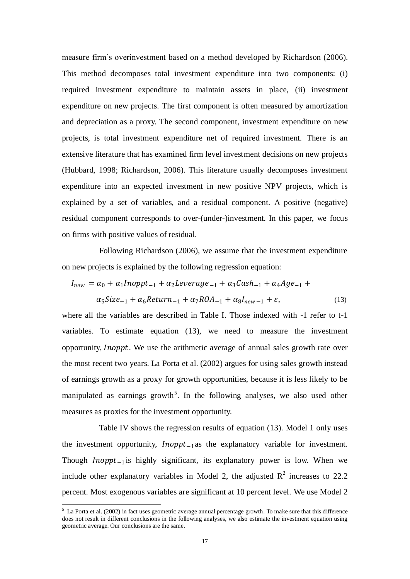measure firm's overinvestment based on a method developed by Richardson (2006). This method decomposes total investment expenditure into two components: (i) required investment expenditure to maintain assets in place, (ii) investment expenditure on new projects. The first component is often measured by amortization and depreciation as a proxy. The second component, investment expenditure on new projects, is total investment expenditure net of required investment. There is an extensive literature that has examined firm level investment decisions on new projects (Hubbard, 1998; Richardson, 2006). This literature usually decomposes investment expenditure into an expected investment in new positive NPV projects, which is explained by a set of variables, and a residual component. A positive (negative) residual component corresponds to over-(under-)investment. In this paper, we focus on firms with positive values of residual.

Following Richardson (2006), we assume that the investment expenditure on new projects is explained by the following regression equation:

$$
I_{new} = \alpha_0 + \alpha_1 Inoppt_{-1} + \alpha_2 Leverage_{-1} + \alpha_3 Cash_{-1} + \alpha_4 Age_{-1} + \alpha_5 Size_{-1} + \alpha_6 Return_{-1} + \alpha_7 ROA_{-1} + \alpha_8 I_{new-1} + \varepsilon,
$$
\n(13)

where all the variables are described in Table I. Those indexed with -1 refer to t-1 variables. To estimate equation (13), we need to measure the investment opportunity, *Inoppt*. We use the arithmetic average of annual sales growth rate over the most recent two years. La Porta et al. (2002) argues for using sales growth instead of earnings growth as a proxy for growth opportunities, because it is less likely to be manipulated as earnings growth<sup>5</sup>. In the following analyses, we also used other measures as proxies for the investment opportunity.

Table IV shows the regression results of equation (13). Model 1 only uses the investment opportunity,  $Inopt_{-1}$ as the explanatory variable for investment. Though  $Inopt_{-1}$  is highly significant, its explanatory power is low. When we include other explanatory variables in Model 2, the adjusted  $\mathbb{R}^2$  increases to 22.2 percent. Most exogenous variables are significant at 10 percent level. We use Model 2

-

 $<sup>5</sup>$  La Porta et al. (2002) in fact uses geometric average annual percentage growth. To make sure that this difference</sup> does not result in different conclusions in the following analyses, we also estimate the investment equation using geometric average. Our conclusions are the same.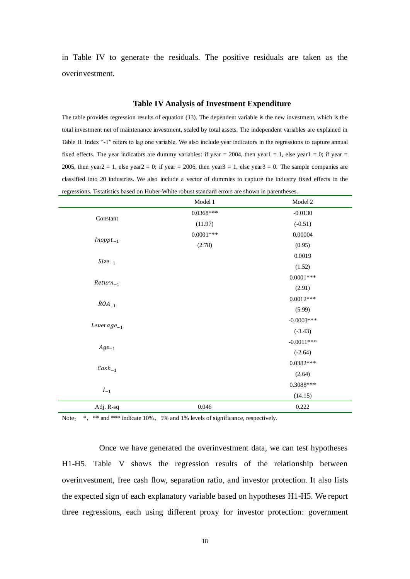in Table IV to generate the residuals. The positive residuals are taken as the overinvestment.

#### **Table IV Analysis of Investment Expenditure**

The table provides regression results of equation (13). The dependent variable is the new investment, which is the total investment net of maintenance investment, scaled by total assets. The independent variables are explained in Table II. Index "-1" refers to lag one variable. We also include year indicators in the regressions to capture annual fixed effects. The year indicators are dummy variables: if year = 2004, then year1 = 1, else year1 = 0; if year = 2005, then year $2 = 1$ , else year $2 = 0$ ; if year = 2006, then year $3 = 1$ , else year $3 = 0$ . The sample companies are classified into 20 industries. We also include a vector of dummies to capture the industry fixed effects in the regressions. T-statistics based on Huber-White robust standard errors are shown in parentheses.

|                 | Model 1     | Model 2      |
|-----------------|-------------|--------------|
|                 | $0.0368***$ | $-0.0130$    |
| Constant        | (11.97)     | $(-0.51)$    |
|                 | $0.0001***$ | 0.00004      |
| $Inopt_{-1}$    | (2.78)      | (0.95)       |
|                 |             | 0.0019       |
| $Size_{-1}$     |             | (1.52)       |
| $Return_{-1}$   |             | $0.0001***$  |
|                 |             | (2.91)       |
| $ROA_{-1}$      |             | $0.0012***$  |
|                 |             | (5.99)       |
|                 |             | $-0.0003***$ |
| $Leverage_{-1}$ |             | $(-3.43)$    |
|                 |             | $-0.0011***$ |
| $Age_{-1}$      |             | $(-2.64)$    |
| $Cash_{-1}$     |             | $0.0382***$  |
|                 |             | (2.64)       |
|                 |             | $0.3088***$  |
| $I_{-1}$        |             | (14.15)      |
| Adj. R-sq       | 0.046       | 0.222        |

Note: \*, \*\* and \*\*\* indicate 10%, 5% and 1% levels of significance, respectively.

Once we have generated the overinvestment data, we can test hypotheses H1-H5. Table V shows the regression results of the relationship between overinvestment, free cash flow, separation ratio, and investor protection. It also lists the expected sign of each explanatory variable based on hypotheses H1-H5. We report three regressions, each using different proxy for investor protection: government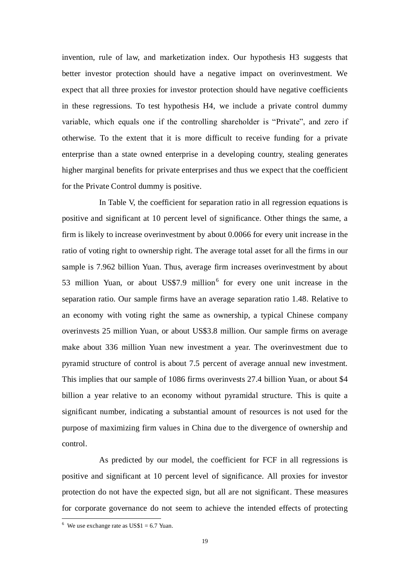invention, rule of law, and marketization index. Our hypothesis H3 suggests that better investor protection should have a negative impact on overinvestment. We expect that all three proxies for investor protection should have negative coefficients in these regressions. To test hypothesis H4, we include a private control dummy variable, which equals one if the controlling shareholder is "Private", and zero if otherwise. To the extent that it is more difficult to receive funding for a private enterprise than a state owned enterprise in a developing country, stealing generates higher marginal benefits for private enterprises and thus we expect that the coefficient for the Private Control dummy is positive.

In Table V, the coefficient for separation ratio in all regression equations is positive and significant at 10 percent level of significance. Other things the same, a firm is likely to increase overinvestment by about 0.0066 for every unit increase in the ratio of voting right to ownership right. The average total asset for all the firms in our sample is 7.962 billion Yuan. Thus, average firm increases overinvestment by about 53 million Yuan, or about US\$7.9 million<sup>6</sup> for every one unit increase in the separation ratio. Our sample firms have an average separation ratio 1.48. Relative to an economy with voting right the same as ownership, a typical Chinese company overinvests 25 million Yuan, or about US\$3.8 million. Our sample firms on average make about 336 million Yuan new investment a year. The overinvestment due to pyramid structure of control is about 7.5 percent of average annual new investment. This implies that our sample of 1086 firms overinvests 27.4 billion Yuan, or about \$4 billion a year relative to an economy without pyramidal structure. This is quite a significant number, indicating a substantial amount of resources is not used for the purpose of maximizing firm values in China due to the divergence of ownership and control.

As predicted by our model, the coefficient for FCF in all regressions is positive and significant at 10 percent level of significance. All proxies for investor protection do not have the expected sign, but all are not significant. These measures for corporate governance do not seem to achieve the intended effects of protecting

-

 $6$  We use exchange rate as US\$1 = 6.7 Yuan.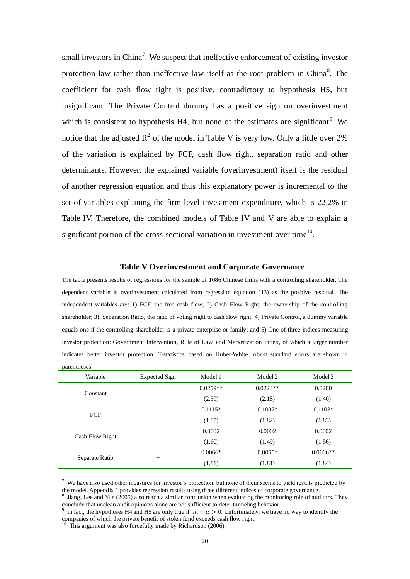small investors in China<sup>7</sup>. We suspect that ineffective enforcement of existing investor protection law rather than ineffective law itself as the root problem in China<sup>8</sup>. The coefficient for cash flow right is positive, contradictory to hypothesis H5, but insignificant. The Private Control dummy has a positive sign on overinvestment which is consistent to hypothesis  $H4$ , but none of the estimates are significant<sup>9</sup>. We notice that the adjusted  $R^2$  of the model in Table V is very low. Only a little over 2% of the variation is explained by FCF, cash flow right, separation ratio and other determinants. However, the explained variable (overinvestment) itself is the residual of another regression equation and thus this explanatory power is incremental to the set of variables explaining the firm level investment expenditure, which is 22.2% in Table IV. Therefore, the combined models of Table IV and V are able to explain a significant portion of the cross-sectional variation in investment over time<sup>10</sup>.

#### **Table V Overinvestment and Corporate Governance**

The table presents results of regressions for the sample of 1086 Chinese firms with a controlling shareholder. The dependent variable is overinvestment calculated from regression equation (13) as the positive residual. The independent variables are: 1) FCF, the free cash flow; 2) Cash Flow Right, the ownership of the controlling shareholder; 3). Separation Ratio, the ratio of voting right to cash flow right; 4) Private Control, a dummy variable equals one if the controlling shareholder is a private enterprise or family; and 5) One of three indices measuring investor protection: Government Intervention, Rule of Law, and Marketization Index, of which a larger number indicates better investor protection. T-statistics based on Huber-White robust standard errors are shown in parentheses.

| Variable        | Expected Sign            | Model 1    | Model 2    | Model 3    |
|-----------------|--------------------------|------------|------------|------------|
|                 |                          | $0.0259**$ | $0.0224**$ | 0.0200     |
| Constant        |                          | (2.39)     | (2.18)     | (1.40)     |
| FCF             |                          | $0.1115*$  | $0.1097*$  | $0.1103*$  |
|                 | $^{+}$                   | (1.85)     | (1.82)     | (1.83)     |
| Cash Flow Right |                          | 0.0002     | 0.0002     | 0.0002     |
|                 | $\overline{\phantom{a}}$ | (1.60)     | (1.49)     | (1.56)     |
| Separate Ratio  |                          | $0.0066*$  | $0.0065*$  | $0.0066**$ |
|                 | $+$                      | (1.81)     | (1.81)     | (1.84)     |

 $<sup>7</sup>$  We have also used other measures for investor's protection, but none of them seems to yield results predicted by</sup> the model. Appendix 1 provides regression results using three different indices of corporate governance.<br><sup>8</sup> Jiang, Lee and Yue (2005) also reach a similar conclusion when evaluating the monitoring role of auditors. They

-

conclude that unclean audit opinions alone are not sufficient to deter tunneling behavior.

<sup>&</sup>lt;sup>9</sup> In fact, the hypotheses H4 and H5 are only true if  $m - \alpha > 0$ . Unfortunately, we have no way to identify the companies of which the private benefit of stolen fund exceeds cash flow right.

<sup>&</sup>lt;sup>10</sup> This argument was also forcefully made by Richardson (2006).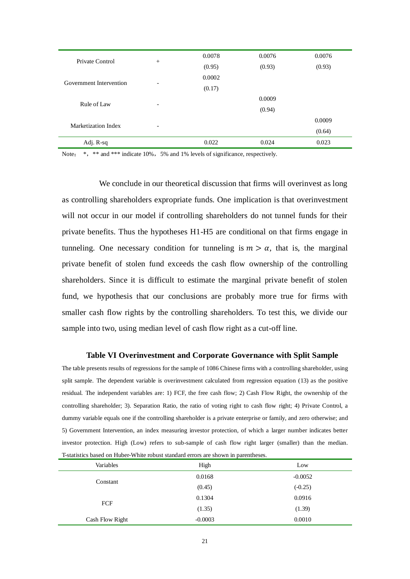| 0.0078                                                                                  | 0.0076 | 0.0076 |
|-----------------------------------------------------------------------------------------|--------|--------|
| (0.95)                                                                                  | (0.93) | (0.93) |
| 0.0002                                                                                  |        |        |
| (0.17)                                                                                  |        |        |
|                                                                                         | 0.0009 |        |
|                                                                                         | (0.94) |        |
|                                                                                         |        | 0.0009 |
|                                                                                         |        | (0.64) |
| 0.022                                                                                   | 0.024  | 0.023  |
| $+$<br>$\overline{\phantom{0}}$<br>$\overline{\phantom{a}}$<br>$\overline{\phantom{0}}$ |        |        |

Note: \*, \*\* and \*\*\* indicate 10%, 5% and 1% levels of significance, respectively.

We conclude in our theoretical discussion that firms will overinvest as long as controlling shareholders expropriate funds. One implication is that overinvestment will not occur in our model if controlling shareholders do not tunnel funds for their private benefits. Thus the hypotheses H1-H5 are conditional on that firms engage in tunneling. One necessary condition for tunneling is  $m > \alpha$ , that is, the marginal private benefit of stolen fund exceeds the cash flow ownership of the controlling shareholders. Since it is difficult to estimate the marginal private benefit of stolen fund, we hypothesis that our conclusions are probably more true for firms with smaller cash flow rights by the controlling shareholders. To test this, we divide our sample into two, using median level of cash flow right as a cut-off line.

#### **Table VI Overinvestment and Corporate Governance with Split Sample**

The table presents results of regressions for the sample of 1086 Chinese firms with a controlling shareholder, using split sample. The dependent variable is overinvestment calculated from regression equation (13) as the positive residual. The independent variables are: 1) FCF, the free cash flow; 2) Cash Flow Right, the ownership of the controlling shareholder; 3). Separation Ratio, the ratio of voting right to cash flow right; 4) Private Control, a dummy variable equals one if the controlling shareholder is a private enterprise or family, and zero otherwise; and 5) Government Intervention, an index measuring investor protection, of which a larger number indicates better investor protection. High (Low) refers to sub-sample of cash flow right larger (smaller) than the median. T-statistics based on Huber-White robust standard errors are shown in parentheses.

| Variables       | High      | Low       |
|-----------------|-----------|-----------|
| Constant        | 0.0168    | $-0.0052$ |
|                 | (0.45)    | $(-0.25)$ |
| FCF             | 0.1304    | 0.0916    |
|                 | (1.35)    | (1.39)    |
| Cash Flow Right | $-0.0003$ | 0.0010    |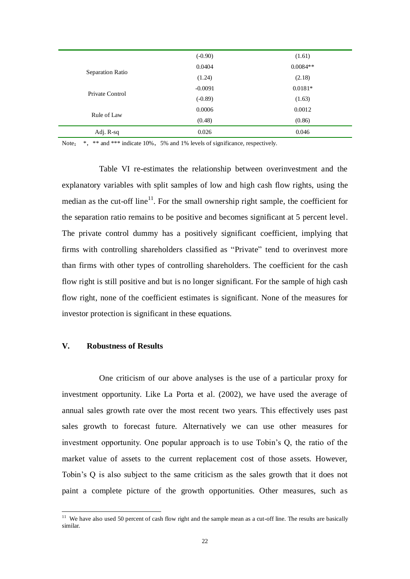|                  | $(-0.90)$ | (1.61)     |
|------------------|-----------|------------|
| Separation Ratio | 0.0404    | $0.0084**$ |
|                  | (1.24)    | (2.18)     |
| Private Control  | $-0.0091$ | $0.0181*$  |
|                  | $(-0.89)$ | (1.63)     |
| Rule of Law      | 0.0006    | 0.0012     |
|                  | (0.48)    | (0.86)     |
| Adj. R-sq        | 0.026     | 0.046      |

Note: \*, \*\* and \*\*\* indicate 10%, 5% and 1% levels of significance, respectively.

Table VI re-estimates the relationship between overinvestment and the explanatory variables with split samples of low and high cash flow rights, using the median as the cut-off line<sup>11</sup>. For the small ownership right sample, the coefficient for the separation ratio remains to be positive and becomes significant at 5 percent level. The private control dummy has a positively significant coefficient, implying that firms with controlling shareholders classified as "Private" tend to overinvest more than firms with other types of controlling shareholders. The coefficient for the cash flow right is still positive and but is no longer significant. For the sample of high cash flow right, none of the coefficient estimates is significant. None of the measures for investor protection is significant in these equations.

## **V. Robustness of Results**

-

One criticism of our above analyses is the use of a particular proxy for investment opportunity. Like La Porta et al. (2002), we have used the average of annual sales growth rate over the most recent two years. This effectively uses past sales growth to forecast future. Alternatively we can use other measures for investment opportunity. One popular approach is to use Tobin's Q, the ratio of the market value of assets to the current replacement cost of those assets. However, Tobin's Q is also subject to the same criticism as the sales growth that it does not paint a complete picture of the growth opportunities. Other measures, such as

 $11$  We have also used 50 percent of cash flow right and the sample mean as a cut-off line. The results are basically similar.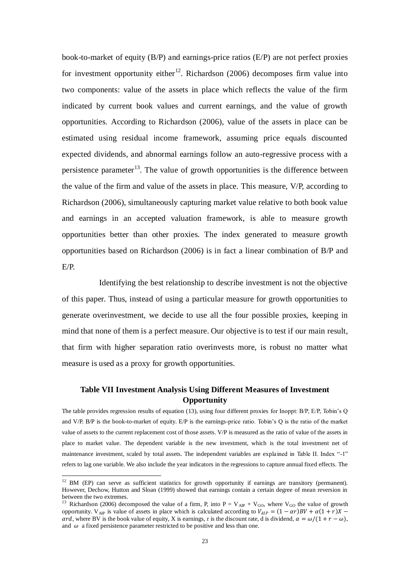book-to-market of equity (B/P) and earnings-price ratios (E/P) are not perfect proxies for investment opportunity either<sup>12</sup>. Richardson (2006) decomposes firm value into two components: value of the assets in place which reflects the value of the firm indicated by current book values and current earnings, and the value of growth opportunities. According to Richardson (2006), value of the assets in place can be estimated using residual income framework, assuming price equals discounted expected dividends, and abnormal earnings follow an auto-regressive process with a persistence parameter<sup>13</sup>. The value of growth opportunities is the difference between the value of the firm and value of the assets in place. This measure, V/P, according to Richardson (2006), simultaneously capturing market value relative to both book value and earnings in an accepted valuation framework, is able to measure growth opportunities better than other proxies. The index generated to measure growth opportunities based on Richardson (2006) is in fact a linear combination of B/P and E/P.

Identifying the best relationship to describe investment is not the objective of this paper. Thus, instead of using a particular measure for growth opportunities to generate overinvestment, we decide to use all the four possible proxies, keeping in mind that none of them is a perfect measure. Our objective is to test if our main result, that firm with higher separation ratio overinvests more, is robust no matter what measure is used as a proxy for growth opportunities.

## **Table VII Investment Analysis Using Different Measures of Investment Opportunity**

The table provides regression results of equation (13), using four different proxies for Inoppt: B/P, E/P, Tobin's Q and V/P. B/P is the book-to-market of equity. E/P is the earnings-price ratio. Tobin's Q is the ratio of the market value of assets to the current replacement cost of those assets. V/P is measured as the ratio of value of the assets in place to market value. The dependent variable is the new investment, which is the total investment net of maintenance investment, scaled by total assets. The independent variables are explained in Table II. Index "-1" refers to lag one variable. We also include the year indicators in the regressions to capture annual fixed effects. The

-

 $12$  BM (EP) can serve as sufficient statistics for growth opportunity if earnings are transitory (permanent). However, Dechow, Hutton and Sloan (1999) showed that earnings contain a certain degree of mean reversion in between the two extremes.

Richardson (2006) decomposed the value of a firm, P, into  $P = V_{AP} + V_{GO}$ , where  $V_{GO}$  the value of growth opportunity. V<sub>AIP</sub> is value of assets in place which is calculated according to  $V_{AIP} = (1 - \alpha r)BV + \alpha(1 + r)X$  – ard, where BV is the book value of equity, X is earnings, r is the discount rate, d is dividend,  $\alpha = \omega/(1 + r - \omega)$ , and  $\omega$  a fixed persistence parameter restricted to be positive and less than one.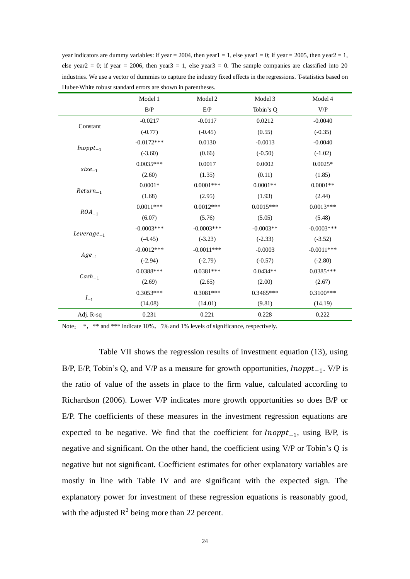year indicators are dummy variables: if year = 2004, then year1 = 1, else year1 = 0; if year = 2005, then year2 = 1, else year2 = 0; if year = 2006, then year3 = 1, else year3 = 0. The sample companies are classified into 20 industries. We use a vector of dummies to capture the industry fixed effects in the regressions. T-statistics based on Huber-White robust standard errors are shown in parentheses.

|                 | Model 1       | Model 2       | Model 3     | Model 4       |
|-----------------|---------------|---------------|-------------|---------------|
|                 | B/P           | E/P           | Tobin's Q   | V/P           |
| Constant        | $-0.0217$     | $-0.0117$     | 0.0212      | $-0.0040$     |
|                 | $(-0.77)$     | $(-0.45)$     | (0.55)      | $(-0.35)$     |
|                 | $-0.0172***$  | 0.0130        | $-0.0013$   | $-0.0040$     |
| $Inopt_{-1}$    | $(-3.60)$     | (0.66)        | $(-0.50)$   | $(-1.02)$     |
|                 | $0.0035***$   | 0.0017        | 0.0002      | $0.0025*$     |
| $size_{-1}$     | (2.60)        | (1.35)        | (0.11)      | (1.85)        |
|                 | $0.0001*$     | $0.0001$ ***  | $0.0001**$  | $0.0001**$    |
| $Return_{-1}$   | (1.68)        | (2.95)        | (1.93)      | (2.44)        |
| $ROA_{-1}$      | $0.0011***$   | $0.0012***$   | $0.0015***$ | $0.0013***$   |
|                 | (6.07)        | (5.76)        | (5.05)      | (5.48)        |
| $Leverage_{-1}$ | $-0.0003$ *** | $-0.0003$ *** | $-0.0003**$ | $-0.0003$ *** |
|                 | $(-4.45)$     | $(-3.23)$     | $(-2.33)$   | $(-3.52)$     |
|                 | $-0.0012***$  | $-0.0011***$  | $-0.0003$   | $-0.0011***$  |
| $Age_{-1}$      | $(-2.94)$     | $(-2.79)$     | $(-0.57)$   | $(-2.80)$     |
|                 | $0.0388***$   | $0.0381***$   | $0.0434**$  | $0.0385***$   |
| $Cash_{-1}$     | (2.69)        | (2.65)        | (2.00)      | (2.67)        |
|                 | $0.3053***$   | $0.3081***$   | $0.3465***$ | $0.3100***$   |
| $I_{-1}$        | (14.08)       | (14.01)       | (9.81)      | (14.19)       |
| Adj. R-sq       | 0.231         | 0.221         | 0.228       | 0.222         |

Note: \*, \*\* and \*\*\* indicate 10%, 5% and 1% levels of significance, respectively.

Table VII shows the regression results of investment equation (13), using B/P, E/P, Tobin's Q, and V/P as a measure for growth opportunities,  $Inopt_{-1}$ . V/P is the ratio of value of the assets in place to the firm value, calculated according to Richardson (2006). Lower V/P indicates more growth opportunities so does B/P or E/P. The coefficients of these measures in the investment regression equations are expected to be negative. We find that the coefficient for  $Inoppt_{-1}$ , using B/P, is negative and significant. On the other hand, the coefficient using V/P or Tobin's Q is negative but not significant. Coefficient estimates for other explanatory variables are mostly in line with Table IV and are significant with the expected sign. The explanatory power for investment of these regression equations is reasonably good, with the adjusted  $R^2$  being more than 22 percent.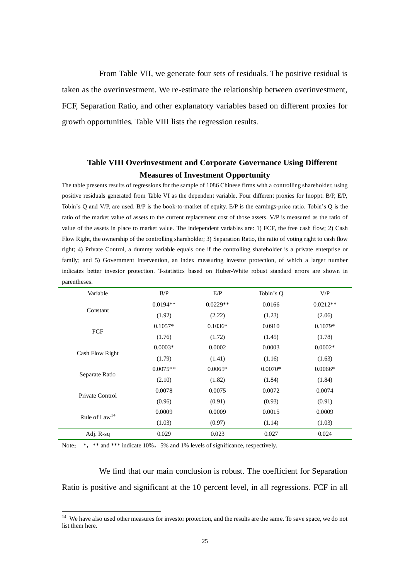From Table VII, we generate four sets of residuals. The positive residual is taken as the overinvestment. We re-estimate the relationship between overinvestment, FCF, Separation Ratio, and other explanatory variables based on different proxies for growth opportunities. Table VIII lists the regression results.

# **Table VIII Overinvestment and Corporate Governance Using Different Measures of Investment Opportunity**

The table presents results of regressions for the sample of 1086 Chinese firms with a controlling shareholder, using positive residuals generated from Table VI as the dependent variable. Four different proxies for Inoppt: B/P, E/P, Tobin's Q and V/P, are used. B/P is the book-to-market of equity. E/P is the earnings-price ratio. Tobin's Q is the ratio of the market value of assets to the current replacement cost of those assets. V/P is measured as the ratio of value of the assets in place to market value. The independent variables are: 1) FCF, the free cash flow; 2) Cash Flow Right, the ownership of the controlling shareholder; 3) Separation Ratio, the ratio of voting right to cash flow right; 4) Private Control, a dummy variable equals one if the controlling shareholder is a private enterprise or family; and 5) Government Intervention, an index measuring investor protection, of which a larger number indicates better investor protection. T-statistics based on Huber-White robust standard errors are shown in parentheses.

| Variable        | B/P        | E/P        | Tobin's Q | V/P        |
|-----------------|------------|------------|-----------|------------|
|                 | $0.0194**$ | $0.0229**$ | 0.0166    | $0.0212**$ |
| Constant        | (1.92)     | (2.22)     | (1.23)    | (2.06)     |
| FCF             | $0.1057*$  | $0.1036*$  | 0.0910    | $0.1079*$  |
|                 | (1.76)     | (1.72)     | (1.45)    | (1.78)     |
|                 | $0.0003*$  | 0.0002     | 0.0003    | $0.0002*$  |
| Cash Flow Right | (1.79)     | (1.41)     | (1.16)    | (1.63)     |
|                 | $0.0075**$ | $0.0065*$  | $0.0070*$ | $0.0066*$  |
| Separate Ratio  | (2.10)     | (1.82)     | (1.84)    | (1.84)     |
| Private Control | 0.0078     | 0.0075     | 0.0072    | 0.0074     |
|                 | (0.96)     | (0.91)     | (0.93)    | (0.91)     |
|                 | 0.0009     | 0.0009     | 0.0015    | 0.0009     |
| Rule of $Law14$ | (1.03)     | (0.97)     | (1.14)    | (1.03)     |
| Adj. R-sq       | 0.029      | 0.023      | 0.027     | 0.024      |

Note: \*, \*\* and \*\*\* indicate 10%, 5% and 1% levels of significance, respectively.

-

We find that our main conclusion is robust. The coefficient for Separation Ratio is positive and significant at the 10 percent level, in all regressions. FCF in all

<sup>&</sup>lt;sup>14</sup> We have also used other measures for investor protection, and the results are the same. To save space, we do not list them here.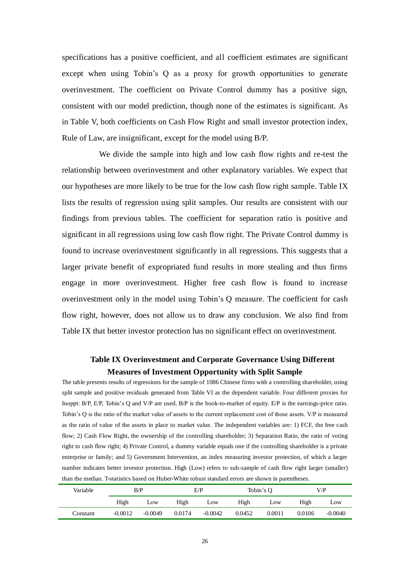specifications has a positive coefficient, and all coefficient estimates are significant except when using Tobin's Q as a proxy for growth opportunities to generate overinvestment. The coefficient on Private Control dummy has a positive sign, consistent with our model prediction, though none of the estimates is significant. As in Table V, both coefficients on Cash Flow Right and small investor protection index, Rule of Law, are insignificant, except for the model using B/P.

We divide the sample into high and low cash flow rights and re-test the relationship between overinvestment and other explanatory variables. We expect that our hypotheses are more likely to be true for the low cash flow right sample. Table IX lists the results of regression using split samples. Our results are consistent with our findings from previous tables. The coefficient for separation ratio is positive and significant in all regressions using low cash flow right. The Private Control dummy is found to increase overinvestment significantly in all regressions. This suggests that a larger private benefit of expropriated fund results in more stealing and thus firms engage in more overinvestment. Higher free cash flow is found to increase overinvestment only in the model using Tobin's Q measure. The coefficient for cash flow right, however, does not allow us to draw any conclusion. We also find from Table IX that better investor protection has no significant effect on overinvestment.

# **Table IX Overinvestment and Corporate Governance Using Different Measures of Investment Opportunity with Split Sample**

The table presents results of regressions for the sample of 1086 Chinese firms with a controlling shareholder, using split sample and positive residuals generated from Table VI as the dependent variable. Four different proxies for Inoppt: B/P, E/P, Tobin's Q and V/P are used. B/P is the book-to-market of equity. E/P is the earnings-price ratio. Tobin's Q is the ratio of the market value of assets to the current replacement cost of those assets. V/P is measured as the ratio of value of the assets in place to market value. The independent variables are: 1) FCF, the free cash flow; 2) Cash Flow Right, the ownership of the controlling shareholder; 3) Separation Ratio, the ratio of voting right to cash flow right; 4) Private Control, a dummy variable equals one if the controlling shareholder is a private enterprise or family; and 5) Government Intervention, an index measuring investor protection, of which a larger number indicates better investor protection. High (Low) refers to sub-sample of cash flow right larger (smaller) than the median. T-statistics based on Huber-White robust standard errors are shown in parentheses.

| Variable | E/P<br>B/P |           | Tobin's $O$ |           | V/P    |        |        |           |
|----------|------------|-----------|-------------|-----------|--------|--------|--------|-----------|
|          | High       | Low       | High        | Low       | High   | Low    | High   | Low       |
| Constant | $-0.0012$  | $-0.0049$ | 0.0174      | $-0.0042$ | 0.0452 | 0.0011 | 0.0106 | $-0.0040$ |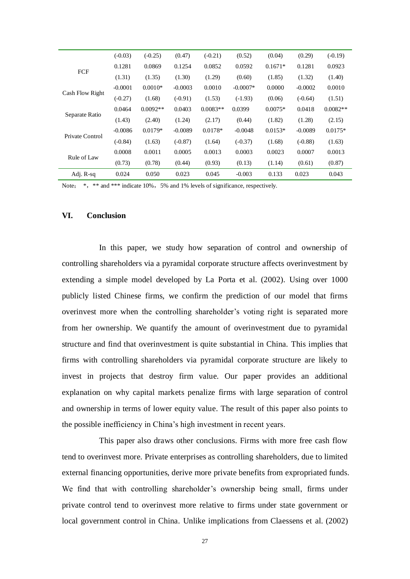|                 | $(-0.03)$ | $(-0.25)$  | (0.47)    | $(-0.21)$  | (0.52)     | (0.04)    | (0.29)    | $(-0.19)$  |
|-----------------|-----------|------------|-----------|------------|------------|-----------|-----------|------------|
| <b>FCF</b>      | 0.1281    | 0.0869     | 0.1254    | 0.0852     | 0.0592     | $0.1671*$ | 0.1281    | 0.0923     |
|                 | (1.31)    | (1.35)     | (1.30)    | (1.29)     | (0.60)     | (1.85)    | (1.32)    | (1.40)     |
|                 | $-0.0001$ | $0.0010*$  | $-0.0003$ | 0.0010     | $-0.0007*$ | 0.0000    | $-0.0002$ | 0.0010     |
| Cash Flow Right | $(-0.27)$ | (1.68)     | $(-0.91)$ | (1.53)     | $(-1.93)$  | (0.06)    | $(-0.64)$ | (1.51)     |
| Separate Ratio  | 0.0464    | $0.0092**$ | 0.0403    | $0.0083**$ | 0.0399     | $0.0075*$ | 0.0418    | $0.0082**$ |
|                 | (1.43)    | (2.40)     | (1.24)    | (2.17)     | (0.44)     | (1.82)    | (1.28)    | (2.15)     |
| Private Control | $-0.0086$ | $0.0179*$  | $-0.0089$ | $0.0178*$  | $-0.0048$  | $0.0153*$ | $-0.0089$ | $0.0175*$  |
|                 | $(-0.84)$ | (1.63)     | $(-0.87)$ | (1.64)     | $(-0.37)$  | (1.68)    | $(-0.88)$ | (1.63)     |
| Rule of Law     | 0.0008    | 0.0011     | 0.0005    | 0.0013     | 0.0003     | 0.0023    | 0.0007    | 0.0013     |
|                 | (0.73)    | (0.78)     | (0.44)    | (0.93)     | (0.13)     | (1.14)    | (0.61)    | (0.87)     |
| Adj. R-sq       | 0.024     | 0.050      | 0.023     | 0.045      | $-0.003$   | 0.133     | 0.023     | 0.043      |

Note: \*, \*\* and \*\*\* indicate 10%, 5% and 1% levels of significance, respectively.

## **VI. Conclusion**

In this paper, we study how separation of control and ownership of controlling shareholders via a pyramidal corporate structure affects overinvestment by extending a simple model developed by La Porta et al. (2002). Using over 1000 publicly listed Chinese firms, we confirm the prediction of our model that firms overinvest more when the controlling shareholder's voting right is separated more from her ownership. We quantify the amount of overinvestment due to pyramidal structure and find that overinvestment is quite substantial in China. This implies that firms with controlling shareholders via pyramidal corporate structure are likely to invest in projects that destroy firm value. Our paper provides an additional explanation on why capital markets penalize firms with large separation of control and ownership in terms of lower equity value. The result of this paper also points to the possible inefficiency in China's high investment in recent years.

This paper also draws other conclusions. Firms with more free cash flow tend to overinvest more. Private enterprises as controlling shareholders, due to limited external financing opportunities, derive more private benefits from expropriated funds. We find that with controlling shareholder's ownership being small, firms under private control tend to overinvest more relative to firms under state government or local government control in China. Unlike implications from Claessens et al. (2002)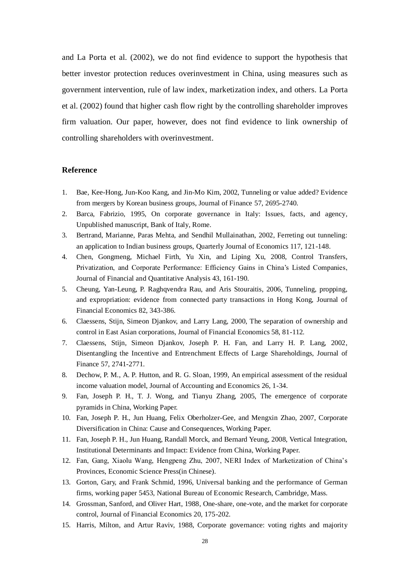and La Porta et al. (2002), we do not find evidence to support the hypothesis that better investor protection reduces overinvestment in China, using measures such as government intervention, rule of law index, marketization index, and others. La Porta et al. (2002) found that higher cash flow right by the controlling shareholder improves firm valuation. Our paper, however, does not find evidence to link ownership of controlling shareholders with overinvestment.

#### **Reference**

- 1. Bae, Kee-Hong, Jun-Koo Kang, and Jin-Mo Kim, 2002, Tunneling or value added? Evidence from mergers by Korean business groups, Journal of Finance 57, 2695-2740.
- 2. Barca, Fabrizio, 1995, On corporate governance in Italy: Issues, facts, and agency, Unpublished manuscript, Bank of Italy, Rome.
- 3. Bertrand, Marianne, Paras Mehta, and Sendhil Mullainathan, 2002, Ferreting out tunneling: an application to Indian business groups, Quarterly Journal of Economics 117, 121-148.
- 4. Chen, Gongmeng, Michael Firth, Yu Xin, and Liping Xu, 2008, Control Transfers, Privatization, and Corporate Performance: Efficiency Gains in China's Listed Companies, Journal of Financial and Quantitative Analysis 43, 161-190.
- 5. Cheung, Yan-Leung, P. Raghqvendra Rau, and Aris Stouraitis, 2006, Tunneling, propping, and expropriation: evidence from connected party transactions in Hong Kong, Journal of Financial Economics 82, 343-386.
- 6. Claessens, Stijn, Simeon Djankov, and Larry Lang, 2000, The separation of ownership and control in East Asian corporations, Journal of Financial Economics 58, 81-112.
- 7. Claessens, Stijn, Simeon Djankov, Joseph P. H. Fan, and Larry H. P. Lang, 2002, Disentangling the Incentive and Entrenchment Effects of Large Shareholdings, Journal of Finance 57, 2741-2771.
- 8. Dechow, P. M., A. P. Hutton, and R. G. Sloan, 1999, An empirical assessment of the residual income valuation model, Journal of Accounting and Economics 26, 1-34.
- 9. Fan, Joseph P. H., T. J. Wong, and Tianyu Zhang, 2005, The emergence of corporate pyramids in China, Working Paper.
- 10. Fan, Joseph P. H., Jun Huang, Felix Oberholzer-Gee, and Mengxin Zhao, 2007, Corporate Diversification in China: Cause and Consequences, Working Paper.
- 11. Fan, Joseph P. H., Jun Huang, Randall Morck, and Bernard Yeung, 2008, Vertical Integration, Institutional Determinants and Impact: Evidence from China, Working Paper.
- 12. Fan, Gang, Xiaolu Wang, Hengpeng Zhu, 2007, NERI Index of Marketization of China's Provinces, Economic Science Press(in Chinese).
- 13. Gorton, Gary, and Frank Schmid, 1996, Universal banking and the performance of German firms, working paper 5453, National Bureau of Economic Research, Cambridge, Mass.
- 14. Grossman, Sanford, and Oliver Hart, 1988, One-share, one-vote, and the market for corporate control, Journal of Financial Economics 20, 175-202.
- 15. Harris, Milton, and Artur Raviv, 1988, Corporate governance: voting rights and majority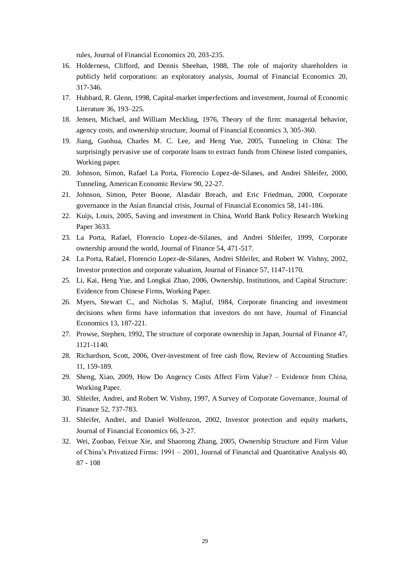rules, Journal of Financial Economics 20, 203-235.

- 16. Holderness, Clifford, and Dennis Sheehan, 1988, The role of majority shareholders in publicly held corporations: an exploratory analysis, Journal of Financial Economics 20, 317-346.
- 17. Hubbard, R. Glenn, 1998, Capital-market imperfections and investment, Journal of Economic Literature 36, 193–225.
- 18. Jensen, Michael, and William Meckling, 1976, Theory of the firm: managerial behavior, agency costs, and ownership structure, Journal of Financial Economics 3, 305-360.
- 19. Jiang, Guohua, Charles M. C. Lee, and Heng Yue, 2005, Tunneling in China: The surprisingly pervasive use of corporate loans to extract funds from Chinese listed companies, Working paper.
- 20. Johnson, Simon, Rafael La Porta, Florencio Lopez-de-Silanes, and Andrei Shleifer, 2000, Tunneling, American Economic Review 90, 22-27.
- 21. Johnson, Simon, Peter Boone, Alasdair Breach, and Eric Friedman, 2000, Corporate governance in the Asian financial crisis, Journal of Financial Economics 58, 141-186.
- 22. Kuijs, Louis, 2005, Saving and investment in China, World Bank Policy Research Working Paper 3633.
- 23. La Porta, Rafael, Florencio Lopez-de-Silanes, and Andrei Shleifer, 1999, Corporate ownership around the world, Journal of Finance 54, 471-517.
- 24. La Porta, Rafael, Florencio Lopez-de-Silanes, Andrei Shleifer, and Robert W. Vishny, 2002, Investor protection and corporate valuation, Journal of Finance 57, 1147-1170.
- 25. Li, Kai, Heng Yue, and Longkai Zhao, 2006, Ownership, Institutions, and Capital Structure: Evidence from Chinese Firms, Working Paper.
- 26. Myers, Stewart C., and Nicholas S. Majluf, 1984, Corporate financing and investment decisions when firms have information that investors do not have, Journal of Financial Economics 13, 187-221.
- 27. Prowse, Stephen, 1992, The structure of corporate ownership in Japan, Journal of Finance 47, 1121-1140.
- 28. Richardson, Scott, 2006, Over-investment of free cash flow, Review of Accounting Studies 11, 159-189.
- 29. Sheng, Xiao, 2009, How Do Angency Costs Affect Firm Value? Evidence from China, Working Paper.
- 30. Shleifer, Andrei, and Robert W. Vishny, 1997, A Survey of Corporate Governance, Journal of Finance 52, 737-783.
- 31. Shleifer, Andrei, and Daniel Wolfenzon, 2002, Investor protection and equity markets, Journal of Financial Economics 66, 3-27.
- 32. Wei, Zuobao, Feixue Xie, and Shaorong Zhang, 2005, Ownership Structure and Firm Value of China's Privatized Firms: 1991 – 2001, Journal of Financial and Quantitative Analysis 40, 87 - 108